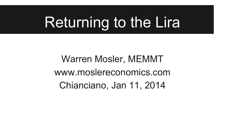## Returning to the Lira

Warren Mosler, MEMMT www.moslereconomics.com Chianciano, Jan 11, 2014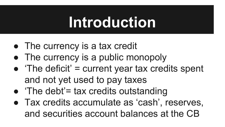#### **Introduction**

- The currency is a tax credit
- The currency is a public monopoly
- $\bullet$  'The deficit' = current year tax credits spent and not yet used to pay taxes
- $\bullet$  'The debt'= tax credits outstanding
- Tax credits accumulate as 'cash', reserves, and securities account balances at the CB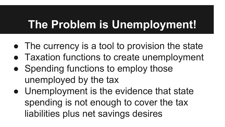#### **The Problem is Unemployment!**

- The currency is a tool to provision the state
- Taxation functions to create unemployment
- Spending functions to employ those unemployed by the tax
- Unemployment is the evidence that state spending is not enough to cover the tax liabilities plus net savings desires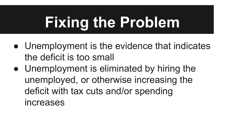# **Fixing the Problem**

- Unemployment is the evidence that indicates the deficit is too small
- Unemployment is eliminated by hiring the unemployed, or otherwise increasing the deficit with tax cuts and/or spending increases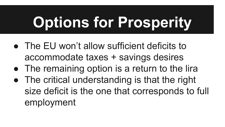# **Options for Prosperity**

- The EU won't allow sufficient deficits to accommodate taxes + savings desires
- The remaining option is a return to the lira
- The critical understanding is that the right size deficit is the one that corresponds to full employment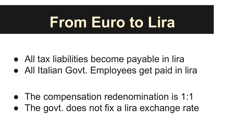### **From Euro to Lira**

- All tax liabilities become payable in lira
- All Italian Govt. Employees get paid in lira

- The compensation redenomination is 1:1
- The govt. does not fix a lira exchange rate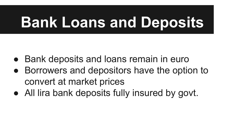## **Bank Loans and Deposits**

- Bank deposits and loans remain in euro
- Borrowers and depositors have the option to convert at market prices
- All lira bank deposits fully insured by govt.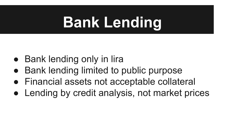## **Bank Lending**

- Bank lending only in lira
- **Bank lending limited to public purpose**
- Financial assets not acceptable collateral
- Lending by credit analysis, not market prices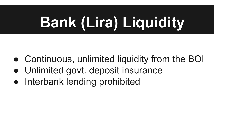# **Bank (Lira) Liquidity**

- Continuous, unlimited liquidity from the BOI
- Unlimited govt. deposit insurance
- Interbank lending prohibited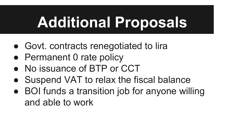## **Additional Proposals**

- Govt. contracts renegotiated to lira
- Permanent 0 rate policy
- No issuance of BTP or CCT
- Suspend VAT to relax the fiscal balance
- BOI funds a transition job for anyone willing and able to work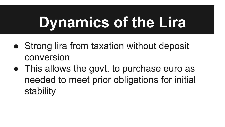## **Dynamics of the Lira**

- Strong lira from taxation without deposit conversion
- This allows the govt. to purchase euro as needed to meet prior obligations for initial stability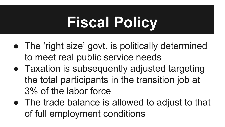## **Fiscal Policy**

- The 'right size' govt. is politically determined to meet real public service needs
- Taxation is subsequently adjusted targeting the total participants in the transition job at 3% of the labor force
- The trade balance is allowed to adjust to that of full employment conditions